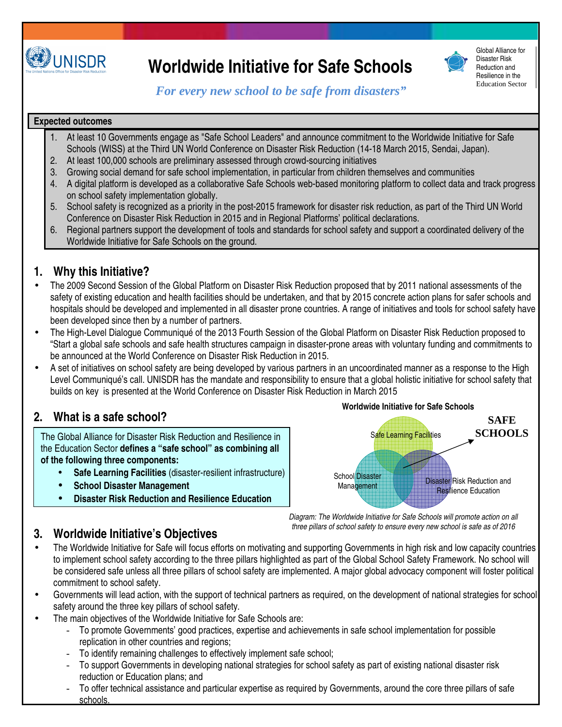

# **Worldwide Initiative for Safe Schools**



Global Alliance for Disaster Risk Reduction and Resilience in the Education Sector

*For every new school to be safe from disasters"* 

#### **Expected outcomes**

- 1. At least 10 Governments engage as "Safe School Leaders" and announce commitment to the Worldwide Initiative for Safe Schools (WISS) at the Third UN World Conference on Disaster Risk Reduction (14-18 March 2015, Sendai, Japan).
- 2. At least 100,000 schools are preliminary assessed through crowd-sourcing initiatives
- 3. Growing social demand for safe school implementation, in particular from children themselves and communities
- 4. A digital platform is developed as a collaborative Safe Schools web-based monitoring platform to collect data and track progress on school safety implementation globally.
- 5. School safety is recognized as a priority in the post-2015 framework for disaster risk reduction, as part of the Third UN World Conference on Disaster Risk Reduction in 2015 and in Regional Platforms' political declarations.
- 6. Regional partners support the development of tools and standards for school safety and support a coordinated delivery of the Worldwide Initiative for Safe Schools on the ground.

## **1. Why this Initiative?**

- The 2009 Second Session of the Global Platform on Disaster Risk Reduction proposed that by 2011 national assessments of the safety of existing education and health facilities should be undertaken, and that by 2015 concrete action plans for safer schools and hospitals should be developed and implemented in all disaster prone countries. A range of initiatives and tools for school safety have been developed since then by a number of partners.
- The High-Level Dialogue Communiqué of the 2013 Fourth Session of the Global Platform on Disaster Risk Reduction proposed to "Start a global safe schools and safe health structures campaign in disaster-prone areas with voluntary funding and commitments to be announced at the World Conference on Disaster Risk Reduction in 2015.
- A set of initiatives on school safety are being developed by various partners in an uncoordinated manner as a response to the High Level Communiqué's call. UNISDR has the mandate and responsibility to ensure that a global holistic initiative for school safety that builds on key is presented at the World Conference on Disaster Risk Reduction in March 2015

## **2. What is a safe school?**

The Global Alliance for Disaster Risk Reduction and Resilience in the Education Sector **defines a "safe school" as combining all of the following three components:** 

- **Safe Learning Facilities** (disaster-resilient infrastructure)
- **School Disaster Management**
- **Disaster Risk Reduction and Resilience Education**



Diagram: The Worldwide Initiative for Safe Schools will promote action on all three pillars of school safety to ensure every new school is safe as of 2016

## **3. Worldwide Initiative's Objectives**

- The Worldwide Initiative for Safe will focus efforts on motivating and supporting Governments in high risk and low capacity countries to implement school safety according to the three pillars highlighted as part of the Global School Safety Framework. No school will be considered safe unless all three pillars of school safety are implemented. A major global advocacy component will foster political commitment to school safety.
- Governments will lead action, with the support of technical partners as required, on the development of national strategies for school safety around the three key pillars of school safety.
- The main objectives of the Worldwide Initiative for Safe Schools are:
	- To promote Governments' good practices, expertise and achievements in safe school implementation for possible replication in other countries and regions;
	- To identify remaining challenges to effectively implement safe school;
	- To support Governments in developing national strategies for school safety as part of existing national disaster risk reduction or Education plans; and
	- To offer technical assistance and particular expertise as required by Governments, around the core three pillars of safe schools.